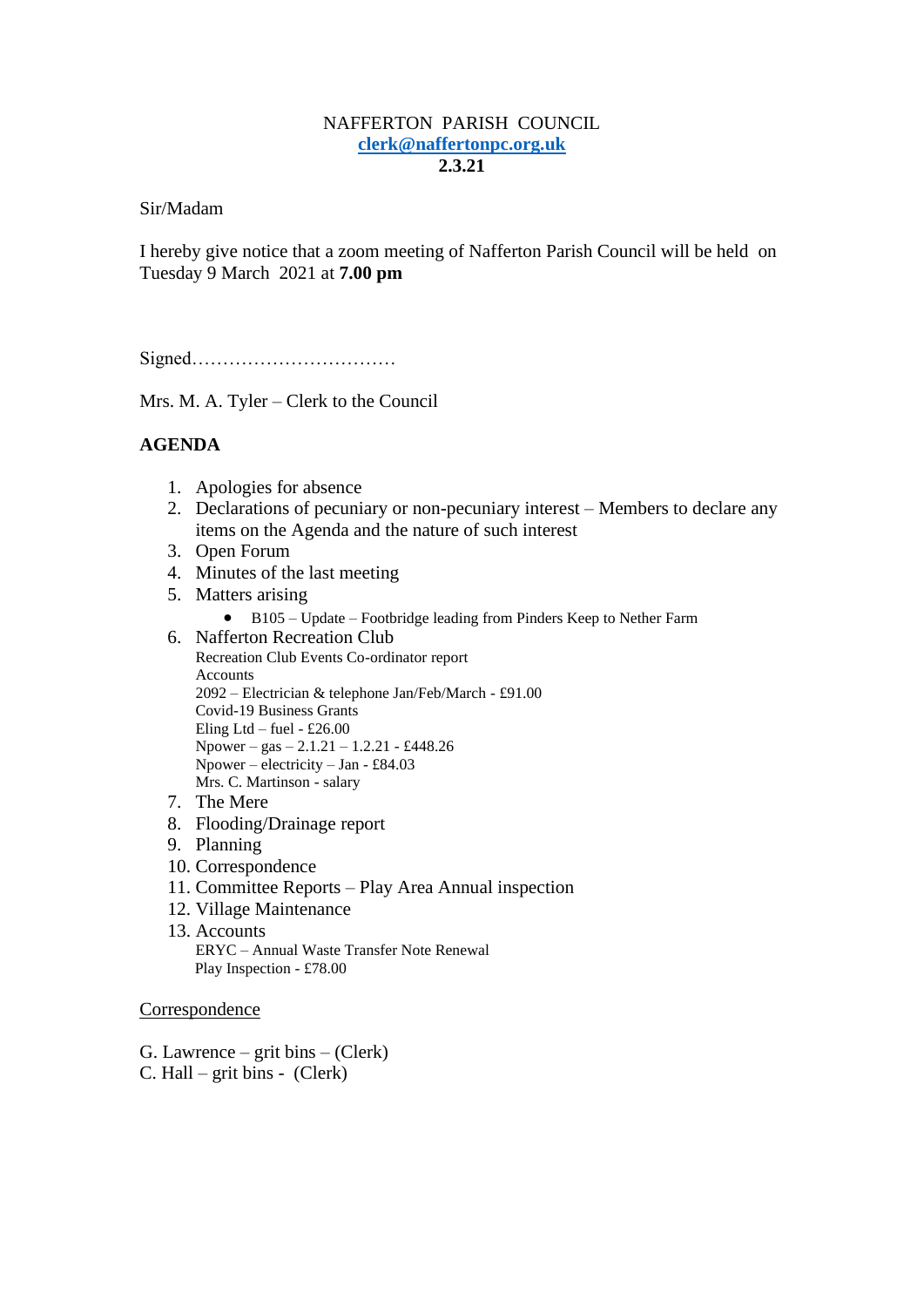## NAFFERTON PARISH COUNCIL **[clerk@naffertonpc.org.uk](mailto:clerk@naffertonpc.org.uk) 2.3.21**

Sir/Madam

I hereby give notice that a zoom meeting of Nafferton Parish Council will be held on Tuesday 9 March 2021 at **7.00 pm**

Signed……………………………

Mrs. M. A. Tyler – Clerk to the Council

## **AGENDA**

- 1. Apologies for absence
- 2. Declarations of pecuniary or non-pecuniary interest Members to declare any items on the Agenda and the nature of such interest
- 3. Open Forum
- 4. Minutes of the last meeting
- 5. Matters arising
	- B105 Update Footbridge leading from Pinders Keep to Nether Farm
- 6. Nafferton Recreation Club Recreation Club Events Co-ordinator report Accounts 2092 – Electrician & telephone Jan/Feb/March - £91.00 Covid-19 Business Grants Eling Ltd – fuel -  $£26.00$ Npower – gas – 2.1.21 – 1.2.21 - £448.26 Npower – electricity – Jan - £84.03 Mrs. C. Martinson - salary
- 7. The Mere
- 8. Flooding/Drainage report
- 9. Planning
- 10. Correspondence
- 11. Committee Reports Play Area Annual inspection
- 12. Village Maintenance
- 13. Accounts ERYC – Annual Waste Transfer Note Renewal Play Inspection - £78.00

## Correspondence

G. Lawrence – grit bins – (Clerk) C. Hall – grit bins - (Clerk)